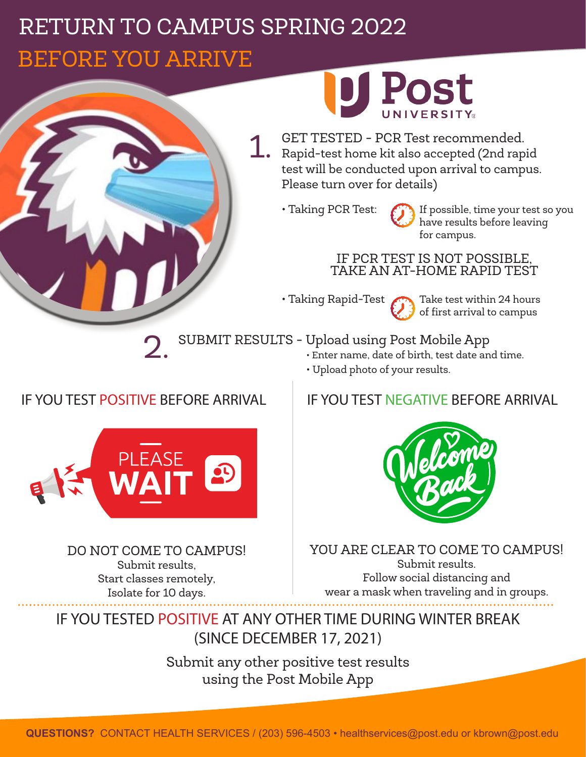## RETURN TO CAMPUS SPRING 2022 BEFORE YOU ARRIVE BEFORE YOU ARRIVE



• Taking Rapid-Test **Take test within 24 hours** of first arrival to campus

SUBMIT RESULTS - Upload using Post Mobile App 2.

- Enter name, date of birth, test date and time.
- Upload photo of your results.

## IF YOU TEST POSITIVE BEFORE ARRIVAL



DO NOT COME TO CAMPUS! Submit results, Start classes remotely, Isolate for 10 days.

## IF YOU TEST NEGATIVE BEFORE ARRIVAL



YOU ARE CLEAR TO COME TO CAMPUS! Submit results. Follow social distancing and wear a mask when traveling and in groups.

IF YOU TESTED POSITIVE AT ANY OTHER TIME DURING WINTER BREAK (SINCE DECEMBER 17, 2021)

> Submit any other positive test results using the Post Mobile App